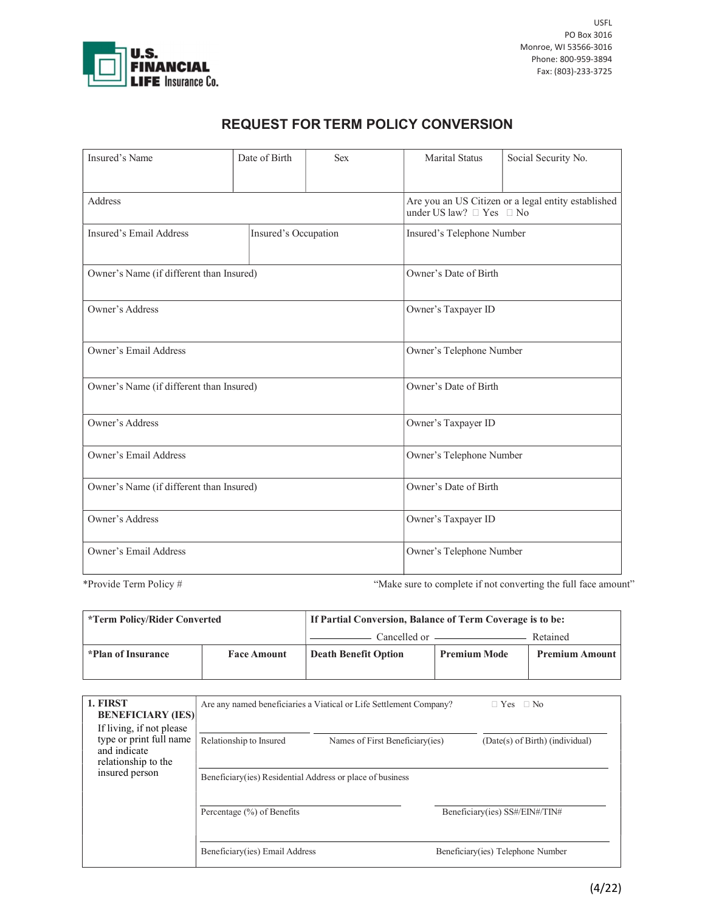

## REQUEST FOR TERM POLICY CONVERSION

| Insured's Name                           | Date of Birth        | <b>Sex</b> | <b>Marital Status</b>                                                                     | Social Security No. |  |
|------------------------------------------|----------------------|------------|-------------------------------------------------------------------------------------------|---------------------|--|
|                                          |                      |            |                                                                                           |                     |  |
| Address                                  |                      |            | Are you an US Citizen or a legal entity established<br>under US law? $\Box$ Yes $\Box$ No |                     |  |
| Insured's Email Address                  | Insured's Occupation |            | Insured's Telephone Number                                                                |                     |  |
| Owner's Name (if different than Insured) |                      |            | Owner's Date of Birth                                                                     |                     |  |
| Owner's Address                          |                      |            | Owner's Taxpayer ID                                                                       |                     |  |
| Owner's Email Address                    |                      |            | Owner's Telephone Number                                                                  |                     |  |
| Owner's Name (if different than Insured) |                      |            | Owner's Date of Birth                                                                     |                     |  |
| Owner's Address                          |                      |            | Owner's Taxpayer ID                                                                       |                     |  |
| Owner's Email Address                    |                      |            | Owner's Telephone Number                                                                  |                     |  |
| Owner's Name (if different than Insured) |                      |            | Owner's Date of Birth                                                                     |                     |  |
| Owner's Address                          |                      |            | Owner's Taxpayer ID                                                                       |                     |  |
| <b>Owner's Email Address</b>             |                      |            | Owner's Telephone Number                                                                  |                     |  |

\*Provide Term Policy # "Make sure to complete if not converting the full face amount"

| <i>*Term Policy/Rider Converted</i> |                    | If Partial Conversion, Balance of Term Coverage is to be: |                     |                       |  |
|-------------------------------------|--------------------|-----------------------------------------------------------|---------------------|-----------------------|--|
|                                     |                    |                                                           |                     | Retained              |  |
| *Plan of Insurance                  | <b>Face Amount</b> | <b>Death Benefit Option</b>                               | <b>Premium Mode</b> | <b>Premium Amount</b> |  |

| 1. FIRST<br><b>BENEFICIARY (IES)</b>                                                                         | Are any named beneficiaries a Viatical or Life Settlement Company?<br>$\Box$ Yes $\Box$ No |                                 |                                |                                   |  |
|--------------------------------------------------------------------------------------------------------------|--------------------------------------------------------------------------------------------|---------------------------------|--------------------------------|-----------------------------------|--|
| If living, if not please<br>type or print full name<br>and indicate<br>relationship to the<br>insured person | Relationship to Insured                                                                    | Names of First Beneficiary(ies) |                                | (Date(s) of Birth) (individual)   |  |
|                                                                                                              | Beneficiary (ies) Residential Address or place of business                                 |                                 |                                |                                   |  |
|                                                                                                              | Percentage $(\%)$ of Benefits                                                              |                                 | Beneficiary(ies) SS#/EIN#/TIN# |                                   |  |
|                                                                                                              | Beneficiary(ies) Email Address                                                             |                                 |                                | Beneficiary(ies) Telephone Number |  |